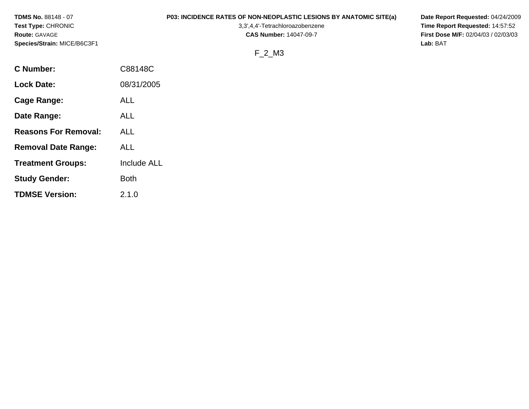| <b>TDMS No. 88148 - 07</b>  |         | <b>P03: INCIDENCE RATES OF NON-NEOPLASTIC LESIONS BY ANATOMIC SITE(a)</b> | Date Report Requested: 04/24/2009          |
|-----------------------------|---------|---------------------------------------------------------------------------|--------------------------------------------|
| <b>Test Type: CHRONIC</b>   |         | 3,3',4,4'-Tetrachloroazobenzene                                           | Time Report Requested: 14:57:52            |
| <b>Route: GAVAGE</b>        |         | <b>CAS Number: 14047-09-7</b>                                             | <b>First Dose M/F: 02/04/03 / 02/03/03</b> |
| Species/Strain: MICE/B6C3F1 |         |                                                                           | Lab: BAT                                   |
|                             |         | F 2 M3                                                                    |                                            |
| <b>C</b> Number:            | C88148C |                                                                           |                                            |

**Lock Date:** 08/31/2005

**Treatment Groups:** Include ALL

**Cage Range:** ALL

**Date Range:** ALL

**Reasons For Removal:** ALL

**Removal Date Range:** ALL

**Study Gender:** Both

**TDMSE Version:** 2.1.0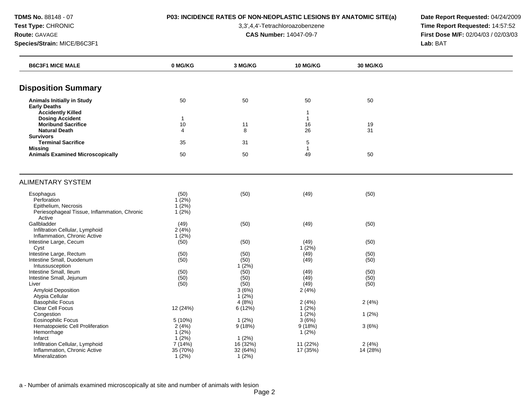# **TDMS No.** 88148 - 07 **P03: INCIDENCE RATES OF NON-NEOPLASTIC LESIONS BY ANATOMIC SITE(a) Date Report Requested:** 04/24/2009

**Test Type:** CHRONIC 3,3',4,4'-Tetrachloroazobenzene **Time Report Requested:** 14:57:52 **Route:** GAVAGE **CAS Number:** 14047-09-7 **First Dose M/F:** 02/04/03 / 02/03/03

| <b>B6C3F1 MICE MALE</b>                                              | 0 MG/KG              | 3 MG/KG       | <b>10 MG/KG</b>    | 30 MG/KG |  |
|----------------------------------------------------------------------|----------------------|---------------|--------------------|----------|--|
|                                                                      |                      |               |                    |          |  |
| <b>Disposition Summary</b>                                           |                      |               |                    |          |  |
| <b>Animals Initially in Study</b><br><b>Early Deaths</b>             | 50                   | 50            | 50                 | 50       |  |
| <b>Accidently Killed</b>                                             |                      |               | -1                 |          |  |
| <b>Dosing Accident</b><br><b>Moribund Sacrifice</b>                  | $\mathbf{1}$<br>$10$ | 11            | $\mathbf{1}$<br>16 | 19       |  |
| <b>Natural Death</b>                                                 | 4                    | 8             | 26                 | 31       |  |
| <b>Survivors</b>                                                     |                      |               |                    |          |  |
| <b>Terminal Sacrifice</b><br><b>Missing</b>                          | 35                   | 31            | 5<br>-1            |          |  |
| <b>Animals Examined Microscopically</b>                              | 50                   | 50            | 49                 | 50       |  |
|                                                                      |                      |               |                    |          |  |
| <b>ALIMENTARY SYSTEM</b>                                             |                      |               |                    |          |  |
| Esophagus                                                            | (50)                 | (50)          | (49)               | (50)     |  |
| Perforation                                                          | 1(2%)                |               |                    |          |  |
| Epithelium, Necrosis<br>Periesophageal Tissue, Inflammation, Chronic | 1(2%)<br>1(2%)       |               |                    |          |  |
| Active                                                               |                      |               |                    |          |  |
| Gallbladder                                                          | (49)                 | (50)          | (49)               | (50)     |  |
| Infiltration Cellular, Lymphoid                                      | 2(4%)                |               |                    |          |  |
| Inflammation, Chronic Active                                         | 1(2%)                | (50)          |                    |          |  |
| Intestine Large, Cecum<br>Cyst                                       | (50)                 |               | (49)<br>1(2%)      | (50)     |  |
| Intestine Large, Rectum                                              | (50)                 | (50)          | (49)               | (50)     |  |
| Intestine Small, Duodenum                                            | (50)                 | (50)          | (49)               | (50)     |  |
| Intussusception                                                      |                      | $1(2\%)$      |                    |          |  |
| Intestine Small, Ileum                                               | (50)                 | (50)          | (49)               | (50)     |  |
| Intestine Small, Jejunum                                             | (50)                 | (50)          | (49)               | (50)     |  |
| Liver<br><b>Amyloid Deposition</b>                                   | (50)                 | (50)<br>3(6%) | (49)               | (50)     |  |
| Atypia Cellular                                                      |                      | $1(2\%)$      | 2(4%)              |          |  |
| <b>Basophilic Focus</b>                                              |                      | 4(8%)         | 2(4%)              | 2(4%)    |  |
| Clear Cell Focus                                                     | 12 (24%)             | 6(12%)        | $1(2\%)$           |          |  |
| Congestion                                                           |                      |               | $1(2\%)$           | 1(2%)    |  |
| <b>Eosinophilic Focus</b>                                            | 5(10%)               | 1(2%)         | 3(6%)              |          |  |
| Hematopoietic Cell Proliferation                                     | 2(4%)                | 9(18%)        | 9(18%)             | 3(6%)    |  |
| Hemorrhage                                                           | 1(2%)                |               | 1(2%)              |          |  |
| Infarct                                                              | $1(2\%)$             | 1(2%)         |                    |          |  |
| Infiltration Cellular, Lymphoid                                      | 7(14%)               | 16(32%)       | 11 (22%)           | 2(4%)    |  |
| Inflammation, Chronic Active                                         | 35 (70%)             | 32 (64%)      | 17(35%)            | 14 (28%) |  |
| Mineralization                                                       | $1(2\%)$             | $1(2\%)$      |                    |          |  |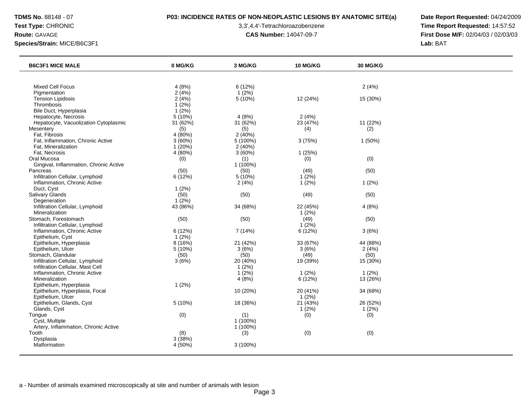# **TDMS No.** 88148 - 07 **P03: INCIDENCE RATES OF NON-NEOPLASTIC LESIONS BY ANATOMIC SITE(a) Date Report Requested:** 04/24/2009

**Test Type:** CHRONIC 3,3',4,4'-Tetrachloroazobenzene **Time Report Requested:** 14:57:52 **Route:** GAVAGE **CAS Number:** 14047-09-7 **First Dose M/F:** 02/04/03 / 02/03/03

| <b>B6C3F1 MICE MALE</b>                | 0 MG/KG  | 3 MG/KG    | 10 MG/KG | 30 MG/KG |  |
|----------------------------------------|----------|------------|----------|----------|--|
|                                        |          |            |          |          |  |
| <b>Mixed Cell Focus</b>                | 4(8%)    | 6(12%)     |          | 2(4%)    |  |
| Pigmentation                           | 2(4%)    | $1(2\%)$   |          |          |  |
| <b>Tension Lipidosis</b>               | 2(4%)    | 5 (10%)    | 12 (24%) | 15 (30%) |  |
| <b>Thrombosis</b>                      | 1(2%)    |            |          |          |  |
| Bile Duct, Hyperplasia                 | 1(2%)    |            |          |          |  |
| Hepatocyte, Necrosis                   | 5(10%)   | 4(8%)      | 2(4%)    |          |  |
| Hepatocyte, Vacuolization Cytoplasmic  | 31(62%)  | 31 (62%)   | 23 (47%) | 11 (22%) |  |
| Mesentery                              | (5)      | (5)        | (4)      | (2)      |  |
| Fat, Fibrosis                          | 4 (80%)  | 2(40%)     |          |          |  |
| Fat, Inflammation, Chronic Active      | 3(60%)   | 5 (100%)   | 3(75%)   | 1 (50%)  |  |
| Fat, Mineralization                    | 1(20%)   | 2(40%)     |          |          |  |
| Fat, Necrosis                          | 4(80%)   | 3(60%)     | 1(25%)   |          |  |
| Oral Mucosa                            | (0)      | (1)        | (0)      | (0)      |  |
| Gingival, Inflammation, Chronic Active |          | 1 (100%)   |          |          |  |
| Pancreas                               | (50)     | (50)       | (49)     | (50)     |  |
| Infiltration Cellular, Lymphoid        | 6(12%)   | 5(10%)     | 1(2%)    |          |  |
| Inflammation, Chronic Active           |          | 2(4%)      | 1(2%)    | 1(2%)    |  |
| Duct, Cyst                             | 1(2%)    |            |          |          |  |
| Salivary Glands                        | (50)     | (50)       | (49)     | (50)     |  |
| Degeneration                           | $1(2\%)$ |            |          |          |  |
| Infiltration Cellular, Lymphoid        | 43 (86%) | 34 (68%)   | 22 (45%) | 4(8%)    |  |
| Mineralization                         |          |            | 1(2%)    |          |  |
| Stomach, Forestomach                   | (50)     | (50)       | (49)     | (50)     |  |
| Infiltration Cellular, Lymphoid        |          |            | 1(2%)    |          |  |
| Inflammation, Chronic Active           | 6(12%)   | 7 (14%)    | 6(12%)   | 3(6%)    |  |
| Epithelium, Cyst                       | $1(2\%)$ |            |          |          |  |
| Epithelium, Hyperplasia                | 8 (16%)  | 21 (42%)   | 33 (67%) | 44 (88%) |  |
| Epithelium, Ulcer                      | 5(10%)   | 3(6%)      | 3(6%)    | 2(4%)    |  |
| Stomach, Glandular                     | (50)     | (50)       | (49)     | (50)     |  |
| Infiltration Cellular, Lymphoid        | 3(6%)    | 20 (40%)   | 19 (39%) | 15 (30%) |  |
| Infiltration Cellular, Mast Cell       |          | $1(2\%)$   |          |          |  |
| Inflammation, Chronic Active           |          | $1(2\%)$   | 1(2%)    | $1(2\%)$ |  |
| Mineralization                         |          | 4(8%)      | 6(12%)   | 13 (26%) |  |
| Epithelium, Hyperplasia                | 1(2%)    |            |          |          |  |
| Epithelium, Hyperplasia, Focal         |          | 10 (20%)   | 20 (41%) | 34 (68%) |  |
| Epithelium, Ulcer                      |          |            | 1(2%)    |          |  |
| Epithelium, Glands, Cyst               | 5(10%)   | 18 (36%)   | 21 (43%) | 26 (52%) |  |
| Glands, Cyst                           |          |            | $1(2\%)$ | 1(2%)    |  |
| Tongue                                 | (0)      | (1)        | (0)      | (0)      |  |
| Cyst, Multiple                         |          | 1 (100%)   |          |          |  |
| Artery, Inflammation, Chronic Active   |          | 1 (100%)   |          |          |  |
| Tooth                                  | (8)      | (3)        | (0)      | (0)      |  |
| Dysplasia                              | 3(38%)   |            |          |          |  |
| Malformation                           | 4 (50%)  | $3(100\%)$ |          |          |  |
|                                        |          |            |          |          |  |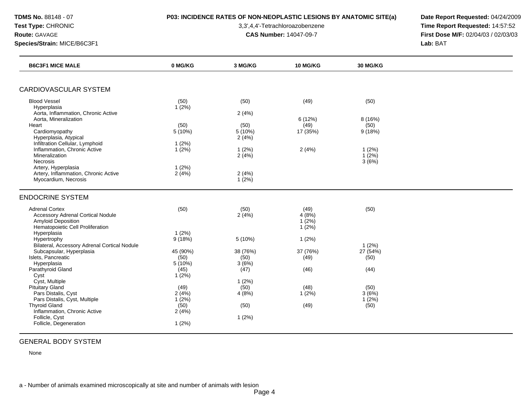# **TDMS No.** 88148 - 07 **P03: INCIDENCE RATES OF NON-NEOPLASTIC LESIONS BY ANATOMIC SITE(a) Date Report Requested:** 04/24/2009

**Test Type:** CHRONIC 3,3',4,4'-Tetrachloroazobenzene **Time Report Requested:** 14:57:52 **Route:** GAVAGE **CAS Number:** 14047-09-7 **First Dose M/F:** 02/04/03 / 02/03/03 **Species/Strain:** MICE/B6C3F1 **Lab:** BAT

|                                                              | 0 MG/KG        | 3 MG/KG        | 10 MG/KG | 30 MG/KG      |  |
|--------------------------------------------------------------|----------------|----------------|----------|---------------|--|
| <b>CARDIOVASCULAR SYSTEM</b>                                 |                |                |          |               |  |
| <b>Blood Vessel</b>                                          |                |                |          |               |  |
| Hyperplasia                                                  | (50)<br>1(2%)  | (50)           | (49)     | (50)          |  |
| Aorta, Inflammation, Chronic Active                          |                | 2(4%)          |          |               |  |
| Aorta, Mineralization                                        |                |                | 6(12%)   | 8(16%)        |  |
| Heart                                                        | (50)           | (50)           | (49)     | (50)          |  |
| Cardiomyopathy                                               | 5(10%)         | 5(10%)         | 17 (35%) | 9(18%)        |  |
| Hyperplasia, Atypical<br>Infiltration Cellular, Lymphoid     | 1(2%)          | 2(4%)          |          |               |  |
| Inflammation, Chronic Active                                 | 1(2%)          | 1(2%)          | 2(4%)    | 1(2%)         |  |
| Mineralization                                               |                | 2(4%)          |          | $1(2\%)$      |  |
| <b>Necrosis</b>                                              |                |                |          | 3(6%)         |  |
| Artery, Hyperplasia                                          | 1(2%)          |                |          |               |  |
| Artery, Inflammation, Chronic Active<br>Myocardium, Necrosis | 2(4%)          | 2(4%)<br>1(2%) |          |               |  |
|                                                              |                |                |          |               |  |
| <b>ENDOCRINE SYSTEM</b>                                      |                |                |          |               |  |
| <b>Adrenal Cortex</b>                                        | (50)           | (50)           | (49)     | (50)          |  |
| <b>Accessory Adrenal Cortical Nodule</b>                     |                | 2(4%)          | 4(8%)    |               |  |
| <b>Amyloid Deposition</b>                                    |                |                | 1(2%)    |               |  |
| Hematopoietic Cell Proliferation<br>Hyperplasia              | 1(2%)          |                | $1(2\%)$ |               |  |
| Hypertrophy                                                  | 9(18%)         | 5(10%)         | 1(2%)    |               |  |
| Bilateral, Accessory Adrenal Cortical Nodule                 |                |                |          | $1(2\%)$      |  |
| Subcapsular, Hyperplasia                                     | 45 (90%)       | 38 (76%)       | 37 (76%) | 27 (54%)      |  |
| Islets, Pancreatic                                           | (50)           | (50)           | (49)     | (50)          |  |
| Hyperplasia<br>Parathyroid Gland                             | 5(10%)<br>(45) | 3(6%)<br>(47)  | (46)     | (44)          |  |
| Cyst                                                         | 1(2%)          |                |          |               |  |
| Cyst, Multiple                                               |                | 1(2%)          |          |               |  |
| <b>Pituitary Gland</b>                                       | (49)           | (50)           | (48)     | (50)          |  |
| Pars Distalis, Cyst                                          | 2(4%)          | 4(8%)          | $1(2\%)$ | 3(6%)         |  |
| Pars Distalis, Cyst, Multiple<br><b>Thyroid Gland</b>        | 1(2%)<br>(50)  | (50)           | (49)     | 1(2%)<br>(50) |  |
| Inflammation, Chronic Active                                 | 2(4%)          |                |          |               |  |
| Follicle, Cyst                                               |                | 1(2%)          |          |               |  |
| Follicle, Degeneration                                       | 1(2%)          |                |          |               |  |

# GENERAL BODY SYSTEM

None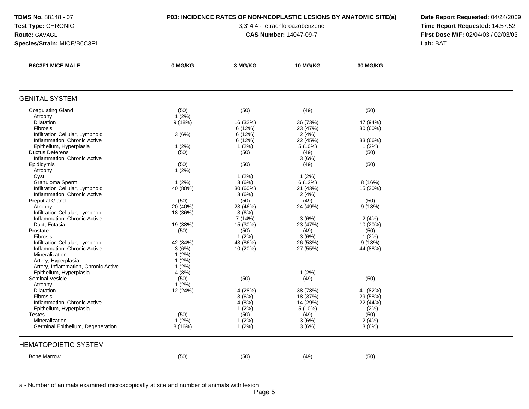# **TDMS No.** 88148 - 07 **P03: INCIDENCE RATES OF NON-NEOPLASTIC LESIONS BY ANATOMIC SITE(a) Date Report Requested:** 04/24/2009

**Test Type:** CHRONIC 3,3',4,4'-Tetrachloroazobenzene **Time Report Requested:** 14:57:52 **Route:** GAVAGE **CAS Number:** 14047-09-7 **First Dose M/F:** 02/04/03 / 02/03/03 **Species/Strain:** MICE/B6C3F1 **Lab:** BAT

| <b>B6C3F1 MICE MALE</b>              | 0 MG/KG  | 3 MG/KG  | 10 MG/KG | <b>30 MG/KG</b> |  |
|--------------------------------------|----------|----------|----------|-----------------|--|
|                                      |          |          |          |                 |  |
| <b>GENITAL SYSTEM</b>                |          |          |          |                 |  |
| <b>Coagulating Gland</b>             | (50)     | (50)     | (49)     | (50)            |  |
| Atrophy                              | $1(2\%)$ |          |          |                 |  |
| Dilatation                           | 9(18%)   | 16 (32%) | 36 (73%) | 47 (94%)        |  |
| Fibrosis                             |          | 6 (12%)  | 23 (47%) | 30 (60%)        |  |
| Infiltration Cellular, Lymphoid      | 3(6%)    | 6 (12%)  | 2(4%)    |                 |  |
| Inflammation, Chronic Active         |          | 6(12%)   | 22 (45%) | 33 (66%)        |  |
| Epithelium, Hyperplasia              | 1(2%)    | 1(2%)    | 5(10%)   | $1(2\%)$        |  |
| <b>Ductus Deferens</b>               | (50)     | (50)     | (49)     | (50)            |  |
| Inflammation, Chronic Active         |          |          | 3(6%)    |                 |  |
| Epididymis                           | (50)     | (50)     | (49)     | (50)            |  |
| Atrophy                              | 1(2%)    |          |          |                 |  |
| Cyst                                 |          | 1(2%)    | 1(2%)    |                 |  |
| Granuloma Sperm                      | 1(2%)    | 3(6%)    | 6(12%)   | 8(16%)          |  |
| Infiltration Cellular, Lymphoid      | 40 (80%) | 30(60%)  | 21 (43%) | 15 (30%)        |  |
| Inflammation, Chronic Active         |          | 3(6%)    | 2(4%)    |                 |  |
| <b>Preputial Gland</b>               | (50)     | (50)     | (49)     | (50)            |  |
| Atrophy                              | 20 (40%) | 23 (46%) | 24 (49%) | 9(18%)          |  |
| Infiltration Cellular, Lymphoid      | 18 (36%) | 3(6%)    |          |                 |  |
| Inflammation, Chronic Active         |          | 7 (14%)  | 3(6%)    | 2(4%)           |  |
| Duct, Ectasia                        | 19 (38%) | 15 (30%) | 23 (47%) | 10 (20%)        |  |
| Prostate                             | (50)     | (50)     | (49)     | (50)            |  |
| Fibrosis                             |          | $1(2\%)$ | 3(6%)    | 1(2%)           |  |
| Infiltration Cellular, Lymphoid      | 42 (84%) | 43 (86%) | 26 (53%) | 9(18%)          |  |
| Inflammation, Chronic Active         | 3(6%)    | 10(20%)  | 27 (55%) | 44 (88%)        |  |
| Mineralization                       | $1(2\%)$ |          |          |                 |  |
| Artery, Hyperplasia                  | 1(2%)    |          |          |                 |  |
| Artery, Inflammation, Chronic Active | 1(2%)    |          |          |                 |  |
| Epithelium, Hyperplasia              | 4(8%)    |          | 1(2%)    |                 |  |
| <b>Seminal Vesicle</b>               | (50)     | (50)     | (49)     | (50)            |  |
| Atrophy                              | $1(2\%)$ |          |          |                 |  |
| Dilatation                           | 12 (24%) | 14 (28%) | 38 (78%) | 41 (82%)        |  |
| <b>Fibrosis</b>                      |          | 3(6%)    | 18 (37%) | 29 (58%)        |  |
| Inflammation, Chronic Active         |          | 4(8%)    | 14 (29%) | 22 (44%)        |  |
| Epithelium, Hyperplasia              |          | $1(2\%)$ | 5 (10%)  | 1(2%)           |  |
| <b>Testes</b>                        | (50)     | (50)     | (49)     | (50)            |  |
| Mineralization                       | $1(2\%)$ | $1(2\%)$ | 3(6%)    | 2(4%)           |  |
| Germinal Epithelium, Degeneration    | 8 (16%)  | 1(2%)    | 3(6%)    | 3(6%)           |  |
| <b>HEMATOPOIETIC SYSTEM</b>          |          |          |          |                 |  |
| <b>Bone Marrow</b>                   | (50)     | (50)     | (49)     | (50)            |  |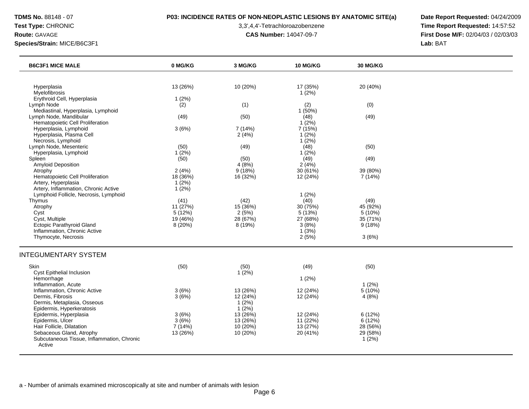# **TDMS No.** 88148 - 07 **P03: INCIDENCE RATES OF NON-NEOPLASTIC LESIONS BY ANATOMIC SITE(a) Date Report Requested:** 04/24/2009

**Test Type:** CHRONIC 3,3',4,4'-Tetrachloroazobenzene **Time Report Requested:** 14:57:52 **Route:** GAVAGE **CAS Number:** 14047-09-7 **First Dose M/F:** 02/04/03 / 02/03/03

| <b>B6C3F1 MICE MALE</b>                              | 0 MG/KG  | 3 MG/KG       | <b>10 MG/KG</b>  | <b>30 MG/KG</b> |  |
|------------------------------------------------------|----------|---------------|------------------|-----------------|--|
|                                                      |          |               |                  |                 |  |
| Hyperplasia                                          | 13 (26%) | 10 (20%)      | 17 (35%)         | 20 (40%)        |  |
| Myelofibrosis                                        |          |               | 1(2%)            |                 |  |
| Erythroid Cell, Hyperplasia                          | 1(2%)    |               |                  |                 |  |
| Lymph Node                                           | (2)      | (1)           | (2)              | (0)             |  |
| Mediastinal, Hyperplasia, Lymphoid                   |          |               | 1(50%)           |                 |  |
| Lymph Node, Mandibular                               | (49)     | (50)          | (48)             | (49)            |  |
| Hematopoietic Cell Proliferation                     |          |               | $1(2\%)$         |                 |  |
| Hyperplasia, Lymphoid<br>Hyperplasia, Plasma Cell    | 3(6%)    | 7 (14%)       | 7 (15%)          |                 |  |
| Necrosis, Lymphoid                                   |          | 2(4%)         | 1(2%)            |                 |  |
| Lymph Node, Mesenteric                               | (50)     |               | $1(2\%)$<br>(48) |                 |  |
| Hyperplasia, Lymphoid                                | $1(2\%)$ | (49)          | $1(2\%)$         | (50)            |  |
| Spleen                                               | (50)     | (50)          | (49)             | (49)            |  |
| <b>Amyloid Deposition</b>                            |          | 4(8%)         | 2(4%)            |                 |  |
| Atrophy                                              | 2(4%)    | 9(18%)        | 30 (61%)         | 39 (80%)        |  |
| Hematopoietic Cell Proliferation                     | 18 (36%) | 16 (32%)      | 12 (24%)         | 7 (14%)         |  |
| Artery, Hyperplasia                                  | 1(2%)    |               |                  |                 |  |
| Artery, Inflammation, Chronic Active                 | 1(2%)    |               |                  |                 |  |
| Lymphoid Follicle, Necrosis, Lymphoid                |          |               | 1(2%)            |                 |  |
| Thymus                                               | (41)     | (42)          | (40)             | (49)            |  |
| Atrophy                                              | 11 (27%) | 15 (36%)      | 30 (75%)         | 45 (92%)        |  |
| Cyst                                                 | 5 (12%)  | 2(5%)         | 5(13%)           | 5 (10%)         |  |
| Cyst, Multiple                                       | 19 (46%) | 28 (67%)      | 27 (68%)         | 35 (71%)        |  |
| <b>Ectopic Parathyroid Gland</b>                     | 8 (20%)  | 8 (19%)       | 3(8%)            | 9(18%)          |  |
| Inflammation, Chronic Active                         |          |               | 1(3%)            |                 |  |
| Thymocyte, Necrosis                                  |          |               | 2(5%)            | 3(6%)           |  |
| INTEGUMENTARY SYSTEM                                 |          |               |                  |                 |  |
|                                                      |          |               |                  |                 |  |
| Skin<br>Cyst Epithelial Inclusion                    | (50)     | (50)<br>1(2%) | (49)             | (50)            |  |
| Hemorrhage                                           |          |               | $1(2\%)$         |                 |  |
| Inflammation, Acute                                  |          |               |                  | $1(2\%)$        |  |
| Inflammation, Chronic Active                         | 3(6%)    | 13 (26%)      | 12 (24%)         | $5(10\%)$       |  |
| Dermis, Fibrosis                                     | 3(6%)    | 12 (24%)      | 12 (24%)         | 4(8%)           |  |
| Dermis, Metaplasia, Osseous                          |          | $1(2\%)$      |                  |                 |  |
| Epidermis, Hyperkeratosis                            |          | 1(2%)         |                  |                 |  |
| Epidermis, Hyperplasia                               | 3(6%)    | 13(26%)       | 12 (24%)         | 6 (12%)         |  |
| Epidermis, Ulcer                                     | 3(6%)    | 13 (26%)      | 11 (22%)         | 6(12%)          |  |
| Hair Follicle, Dilatation                            | 7(14%)   | 10(20%)       | 13(27%)          | 28 (56%)        |  |
| Sebaceous Gland, Atrophy                             | 13 (26%) | 10 (20%)      | 20 (41%)         | 29 (58%)        |  |
| Subcutaneous Tissue, Inflammation, Chronic<br>Active |          |               |                  | 1(2%)           |  |
|                                                      |          |               |                  |                 |  |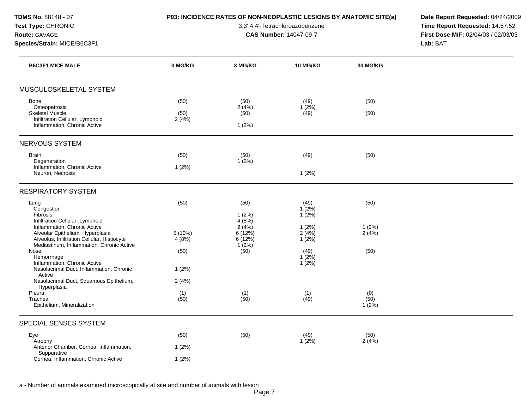**TDMS No.** 88148 - 07 **P03: INCIDENCE RATES OF NON-NEOPLASTIC LESIONS BY ANATOMIC SITE(a) Date Report Requested:** 04/24/2009

**Test Type:** CHRONIC 3,3',4,4'-Tetrachloroazobenzene **Time Report Requested:** 14:57:52 **Route:** GAVAGE **CAS Number:** 14047-09-7 **First Dose M/F:** 02/04/03 / 02/03/03 **Species/Strain:** MICE/B6C3F1 **Lab:** BAT

| <b>B6C3F1 MICE MALE</b>                                                                                                                                      | 0 MG/KG               | 3 MG/KG                            | 10 MG/KG                   | 30 MG/KG                |  |
|--------------------------------------------------------------------------------------------------------------------------------------------------------------|-----------------------|------------------------------------|----------------------------|-------------------------|--|
|                                                                                                                                                              |                       |                                    |                            |                         |  |
| MUSCULOSKELETAL SYSTEM                                                                                                                                       |                       |                                    |                            |                         |  |
| <b>Bone</b><br>Osteopetrosis<br><b>Skeletal Muscle</b><br>Infiltration Cellular, Lymphoid<br>Inflammation, Chronic Active                                    | (50)<br>(50)<br>2(4%) | (50)<br>2(4%)<br>(50)<br>1(2%)     | (49)<br>$1(2\%)$<br>(49)   | (50)<br>(50)            |  |
| NERVOUS SYSTEM                                                                                                                                               |                       |                                    |                            |                         |  |
| Brain                                                                                                                                                        | (50)                  | (50)                               | (49)                       | (50)                    |  |
| Degeneration<br>Inflammation, Chronic Active<br>Neuron, Necrosis                                                                                             | 1(2%)                 | 1(2%)                              | 1(2%)                      |                         |  |
| <b>RESPIRATORY SYSTEM</b>                                                                                                                                    |                       |                                    |                            |                         |  |
| Lung<br>Congestion<br>Fibrosis<br>Infiltration Cellular, Lymphoid                                                                                            | (50)                  | (50)<br>1(2%)<br>4(8%)             | (49)<br>1(2%)<br>$1(2\%)$  | (50)                    |  |
| Inflammation, Chronic Active<br>Alveolar Epithelium, Hyperplasia<br>Alveolus, Infiltration Cellular, Histiocyte<br>Mediastinum, Inflammation, Chronic Active | 5 (10%)<br>4(8%)      | 2(4%)<br>6(12%)<br>6(12%)<br>1(2%) | 1(2%)<br>2(4%)<br>$1(2\%)$ | 1(2%)<br>2(4%)          |  |
| Nose<br>Hemorrhage<br>Inflammation, Chronic Active                                                                                                           | (50)                  | (50)                               | (49)<br>1(2%)<br>1(2%)     | (50)                    |  |
| Nasolacrimal Duct, Inflammation, Chronic<br>Active                                                                                                           | 1(2%)                 |                                    |                            |                         |  |
| Nasolacrimal Duct, Squamous Epithelium,<br>Hyperplasia                                                                                                       | 2(4%)                 |                                    |                            |                         |  |
| Pleura<br>Trachea<br>Epithelium, Mineralization                                                                                                              | (1)<br>(50)           | (1)<br>(50)                        | (1)<br>(49)                | (0)<br>(50)<br>$1(2\%)$ |  |
| SPECIAL SENSES SYSTEM                                                                                                                                        |                       |                                    |                            |                         |  |
| Eye                                                                                                                                                          | (50)                  | (50)                               | (49)                       | (50)                    |  |
| Atrophy<br>Anterior Chamber, Cornea, Inflammation,                                                                                                           | 1(2%)                 |                                    | 1(2%)                      | 2(4%)                   |  |
| Suppurative<br>Cornea, Inflammation, Chronic Active                                                                                                          | 1(2%)                 |                                    |                            |                         |  |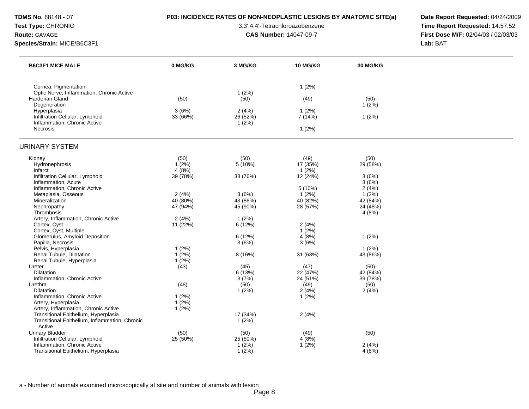# **TDMS No.** 88148 - 07 **P03: INCIDENCE RATES OF NON-NEOPLASTIC LESIONS BY ANATOMIC SITE(a) Date Report Requested:** 04/24/2009

**Test Type:** CHRONIC 3,3',4,4'-Tetrachloroazobenzene **Time Report Requested:** 14:57:52 **Route:** GAVAGE **CAS Number:** 14047-09-7 **First Dose M/F:** 02/04/03 / 02/03/03

| <b>B6C3F1 MICE MALE</b>                                             | 0 MG/KG           | 3 MG/KG           | 10 MG/KG             | <b>30 MG/KG</b> |  |
|---------------------------------------------------------------------|-------------------|-------------------|----------------------|-----------------|--|
|                                                                     |                   |                   |                      |                 |  |
| Cornea, Pigmentation                                                |                   |                   | 1(2%)                |                 |  |
| Optic Nerve, Inflammation, Chronic Active<br><b>Harderian Gland</b> | (50)              | 1(2%)<br>(50)     | (49)                 | (50)            |  |
| Degeneration                                                        |                   |                   |                      | 1(2%)           |  |
| Hyperplasia<br>Infiltration Cellular, Lymphoid                      | 3(6%)<br>33 (66%) | 2(4%)<br>26 (52%) | 1(2%)<br>7(14%)      | $1(2\%)$        |  |
| Inflammation, Chronic Active                                        |                   | 1(2%)             |                      |                 |  |
| Necrosis                                                            |                   |                   | 1(2%)                |                 |  |
| <b>URINARY SYSTEM</b>                                               |                   |                   |                      |                 |  |
| Kidney                                                              | (50)              | (50)              | (49)                 | (50)            |  |
| Hydronephrosis                                                      | $1(2\%)$          | $5(10\%)$         | 17 (35%)             | 29 (58%)        |  |
| Infarct<br>Infiltration Cellular, Lymphoid                          | 4(8%)<br>39 (78%) | 38 (76%)          | $1(2\%)$<br>12 (24%) | 3(6%)           |  |
| Inflammation, Acute                                                 |                   |                   |                      | 3(6%)           |  |
| Inflammation, Chronic Active                                        |                   |                   | 5 (10%)              | 2(4%)           |  |
| Metaplasia, Osseous                                                 | 2(4%)             | 3(6%)             | 1(2%)                | 1(2%)           |  |
| Mineralization                                                      | 40 (80%)          | 43 (86%)          | 40 (82%)             | 42 (84%)        |  |
| Nephropathy                                                         | 47 (94%)          | 45 (90%)          | 28 (57%)             | 24 (48%)        |  |
| Thrombosis<br>Artery, Inflammation, Chronic Active                  | 2(4%)             | 1(2%)             |                      | 4(8%)           |  |
| Cortex, Cyst                                                        | 11 (22%)          | 6(12%)            | 2(4%)                |                 |  |
| Cortex, Cyst, Multiple                                              |                   |                   | 1(2%)                |                 |  |
| Glomerulus, Amyloid Deposition                                      |                   | 6(12%)            | 4(8%)                | $1(2\%)$        |  |
| Papilla, Necrosis                                                   |                   | 3(6%)             | 3(6%)                |                 |  |
| Pelvis, Hyperplasia                                                 | 1(2%)             |                   |                      | $1(2\%)$        |  |
| Renal Tubule, Dilatation                                            | $1(2\%)$          | 8(16%)            | 31 (63%)             | 43 (86%)        |  |
| Renal Tubule, Hyperplasia                                           | 1(2%)             |                   |                      |                 |  |
| Ureter                                                              | (43)              | (45)              | (47)                 | (50)            |  |
| Dilatation                                                          |                   | 6(13%)            | 22 (47%)             | 42 (84%)        |  |
| Inflammation, Chronic Active                                        |                   | 3(7%)             | 24 (51%)             | 39 (78%)        |  |
| Urethra                                                             | (48)              | (50)              | (49)                 | (50)            |  |
| Dilatation                                                          |                   | 1(2%)             | 2(4%)                | 2(4%)           |  |
| Inflammation, Chronic Active                                        | 1(2%)             |                   | 1(2%)                |                 |  |
| Artery, Hyperplasia                                                 | 1(2%)             |                   |                      |                 |  |
| Artery, Inflammation, Chronic Active                                | 1(2%)             |                   |                      |                 |  |
| Transitional Epithelium, Hyperplasia                                |                   | 17 (34%)          | 2(4%)                |                 |  |
| Transitional Epithelium, Inflammation, Chronic                      |                   | 1(2%)             |                      |                 |  |
| Active                                                              |                   |                   |                      |                 |  |
| <b>Urinary Bladder</b>                                              | (50)              | (50)              | (49)                 | (50)            |  |
| Infiltration Cellular, Lymphoid                                     | 25 (50%)          | 25(50%)           | 4(8%)                |                 |  |
| Inflammation, Chronic Active                                        |                   | 1(2%)             | $1(2\%)$             | 2(4%)           |  |
| Transitional Epithelium, Hyperplasia                                |                   | 1(2%)             |                      | 4(8%)           |  |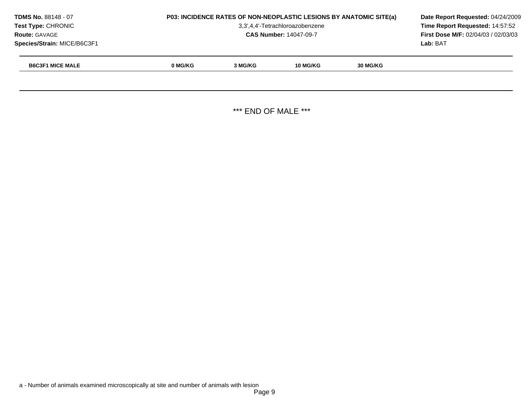| <b>TDMS No. 88148 - 07</b><br><b>Test Type: CHRONIC</b><br><b>Route: GAVAGE</b><br>Species/Strain: MICE/B6C3F1 |         | <b>P03: INCIDENCE RATES OF NON-NEOPLASTIC LESIONS BY ANATOMIC SITE(a)</b><br>3,3',4,4'-Tetrachloroazobenzene<br><b>CAS Number: 14047-09-7</b> |  |  |  |  |
|----------------------------------------------------------------------------------------------------------------|---------|-----------------------------------------------------------------------------------------------------------------------------------------------|--|--|--|--|
| <b>B6C3F1 MICE MALE</b>                                                                                        | 0 MG/KG | 3 MG/KG                                                                                                                                       |  |  |  |  |
|                                                                                                                |         |                                                                                                                                               |  |  |  |  |

\*\*\* END OF MALE \*\*\*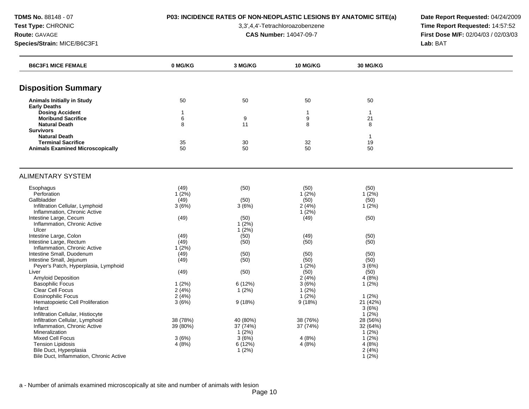**TDMS No.** 88148 - 07 **P03: INCIDENCE RATES OF NON-NEOPLASTIC LESIONS BY ANATOMIC SITE(a) Date Report Requested:** 04/24/2009

**Test Type:** CHRONIC 3,3',4,4'-Tetrachloroazobenzene **Time Report Requested:** 14:57:52 **Route:** GAVAGE **CAS Number:** 14047-09-7 **First Dose M/F:** 02/04/03 / 02/03/03

| <b>B6C3F1 MICE FEMALE</b>                           | 0 MG/KG           | 3 MG/KG              | <b>10 MG/KG</b>                  | <b>30 MG/KG</b>    |  |
|-----------------------------------------------------|-------------------|----------------------|----------------------------------|--------------------|--|
|                                                     |                   |                      |                                  |                    |  |
| <b>Disposition Summary</b>                          |                   |                      |                                  |                    |  |
| <b>Animals Initially in Study</b>                   | 50                | 50                   | 50                               | 50                 |  |
| <b>Early Deaths</b>                                 |                   |                      |                                  |                    |  |
| <b>Dosing Accident</b><br><b>Moribund Sacrifice</b> | $\mathbf{1}$<br>6 | $\boldsymbol{9}$     | $\mathbf{1}$<br>$\boldsymbol{9}$ | $\mathbf{1}$<br>21 |  |
| <b>Natural Death</b>                                | 8                 | 11                   | 8                                | 8                  |  |
| <b>Survivors</b>                                    |                   |                      |                                  |                    |  |
| <b>Natural Death</b>                                |                   |                      |                                  | 1                  |  |
| <b>Terminal Sacrifice</b>                           | 35                | 30                   | 32                               | 19                 |  |
| <b>Animals Examined Microscopically</b>             | 50                | 50                   | 50                               | 50                 |  |
|                                                     |                   |                      |                                  |                    |  |
| <b>ALIMENTARY SYSTEM</b>                            |                   |                      |                                  |                    |  |
| Esophagus                                           | (49)              | (50)                 | (50)                             | (50)               |  |
| Perforation                                         | $1(2\%)$          |                      | 1(2%)                            | 1(2%)              |  |
| Gallbladder                                         | (49)              | (50)                 | (50)                             | (50)               |  |
| Infiltration Cellular, Lymphoid                     | 3(6%)             | 3(6%)                | 2(4%)                            | 1(2%)              |  |
| Inflammation, Chronic Active                        |                   |                      | 1(2%)                            |                    |  |
| Intestine Large, Cecum                              | (49)              | (50)                 | (49)                             | (50)               |  |
| Inflammation, Chronic Active<br>Ulcer               |                   | $1(2\%)$<br>$1(2\%)$ |                                  |                    |  |
| Intestine Large, Colon                              | (49)              | (50)                 | (49)                             | (50)               |  |
| Intestine Large, Rectum                             | (49)              | (50)                 | (50)                             | (50)               |  |
| Inflammation, Chronic Active                        | $1(2\%)$          |                      |                                  |                    |  |
| Intestine Small, Duodenum                           | (49)              | (50)                 | (50)                             | (50)               |  |
| Intestine Small, Jejunum                            | (49)              | (50)                 | (50)                             | (50)               |  |
| Peyer's Patch, Hyperplasia, Lymphoid                |                   |                      | 1(2%)                            | 3(6%)              |  |
| Liver                                               | (49)              | (50)                 | (50)                             | (50)               |  |
| <b>Amyloid Deposition</b>                           |                   |                      | 2(4%)                            | 4(8%)              |  |
| <b>Basophilic Focus</b>                             | 1(2%)             | 6(12%)               | 3(6%)                            | $1(2\%)$           |  |
| Clear Cell Focus                                    | 2(4%)             | 1(2%)                | $1(2\%)$                         |                    |  |
| <b>Eosinophilic Focus</b>                           | 2(4%)             |                      | $1(2\%)$                         | 1(2%)              |  |
| Hematopoietic Cell Proliferation<br>Infarct         | 3(6%)             | 9(18%)               | 9(18%)                           | 21 (42%)<br>3(6%)  |  |
| Infiltration Cellular, Histiocyte                   |                   |                      |                                  | 1(2%)              |  |
| Infiltration Cellular, Lymphoid                     | 38 (78%)          | 40 (80%)             | 38 (76%)                         | 28 (56%)           |  |
| Inflammation, Chronic Active                        | 39 (80%)          | 37 (74%)             | 37 (74%)                         | 32 (64%)           |  |
| Mineralization                                      |                   | 1(2%)                |                                  | 1(2%)              |  |
| <b>Mixed Cell Focus</b>                             | 3(6%)             | 3(6%)                | 4(8%)                            | $1(2\%)$           |  |
| <b>Tension Lipidosis</b>                            | 4(8%)             | 6(12%)               | 4(8%)                            | 4(8%)              |  |
| Bile Duct, Hyperplasia                              |                   | 1(2%)                |                                  | 2(4%)              |  |
| Bile Duct, Inflammation, Chronic Active             |                   |                      |                                  | $1(2\%)$           |  |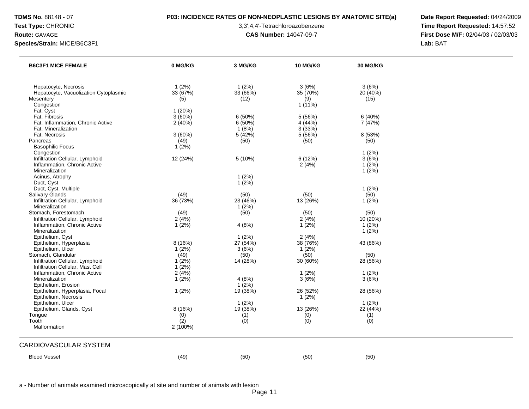# **TDMS No.** 88148 - 07 **P03: INCIDENCE RATES OF NON-NEOPLASTIC LESIONS BY ANATOMIC SITE(a) Date Report Requested:** 04/24/2009

**Test Type:** CHRONIC 3,3',4,4'-Tetrachloroazobenzene **Time Report Requested:** 14:57:52 **Route:** GAVAGE **CAS Number:** 14047-09-7 **First Dose M/F:** 02/04/03 / 02/03/03

| <b>B6C3F1 MICE FEMALE</b>             | 0 MG/KG    | 3 MG/KG  | 10 MG/KG  | 30 MG/KG |  |
|---------------------------------------|------------|----------|-----------|----------|--|
|                                       |            |          |           |          |  |
| Hepatocyte, Necrosis                  | 1(2%)      | 1(2%)    | 3(6%)     | 3(6%)    |  |
| Hepatocyte, Vacuolization Cytoplasmic | 33 (67%)   | 33 (66%) | 35 (70%)  | 20(40%)  |  |
| Mesentery                             | (5)        | (12)     | (9)       | (15)     |  |
| Congestion                            |            |          | $1(11\%)$ |          |  |
| Fat, Cyst                             | 1(20%)     |          |           |          |  |
| Fat, Fibrosis                         | 3(60%)     | 6(50%)   | 5 (56%)   | 6(40%)   |  |
| Fat, Inflammation, Chronic Active     | 2(40%)     | 6(50%)   | 4(44%)    | 7 (47%)  |  |
| Fat, Mineralization                   |            | 1(8%)    | 3(33%)    |          |  |
| Fat, Necrosis                         | 3(60%)     | 5(42%)   | 5(56%)    | 8 (53%)  |  |
| Pancreas                              | (49)       | (50)     | (50)      | (50)     |  |
| <b>Basophilic Focus</b>               | 1(2%)      |          |           |          |  |
| Congestion                            |            |          |           | 1(2%)    |  |
| Infiltration Cellular, Lymphoid       | 12 (24%)   | 5(10%)   | 6(12%)    | 3(6%)    |  |
| Inflammation, Chronic Active          |            |          | 2(4%)     | 1(2%)    |  |
| Mineralization                        |            |          |           | $1(2\%)$ |  |
| Acinus, Atrophy                       |            | 1(2%)    |           |          |  |
| Duct, Cyst                            |            | 1(2%)    |           |          |  |
| Duct, Cyst, Multiple                  |            |          |           | 1(2%)    |  |
| Salivary Glands                       | (49)       | (50)     | (50)      | (50)     |  |
| Infiltration Cellular, Lymphoid       | 36 (73%)   | 23 (46%) | 13 (26%)  | 1(2%)    |  |
| Mineralization                        |            | $1(2\%)$ |           |          |  |
| Stomach, Forestomach                  | (49)       | (50)     | (50)      | (50)     |  |
| Infiltration Cellular, Lymphoid       | 2(4%)      |          | 2(4%)     | 10(20%)  |  |
| Inflammation, Chronic Active          | $1(2\%)$   | 4(8%)    | $1(2\%)$  | 1(2%)    |  |
| Mineralization                        |            |          |           | $1(2\%)$ |  |
| Epithelium, Cyst                      |            | 1(2%)    | 2(4%)     |          |  |
| Epithelium, Hyperplasia               | 8 (16%)    | 27 (54%) | 38 (76%)  | 43 (86%) |  |
| Epithelium, Ulcer                     | 1(2%)      | 3(6%)    | $1(2\%)$  |          |  |
| Stomach, Glandular                    | (49)       | (50)     | (50)      | (50)     |  |
| Infiltration Cellular, Lymphoid       | $1(2\%)$   | 14(28%)  | 30(60%)   | 28 (56%) |  |
| Infiltration Cellular, Mast Cell      | 1(2%)      |          |           |          |  |
| Inflammation, Chronic Active          | 2(4%)      |          | 1(2%)     | 1(2%)    |  |
| Mineralization                        | 1(2%)      | 4(8%)    | 3(6%)     | 3(6%)    |  |
| Epithelium, Erosion                   |            | $1(2\%)$ |           |          |  |
| Epithelium, Hyperplasia, Focal        | 1(2%)      | 19 (38%) | 26 (52%)  | 28 (56%) |  |
| Epithelium, Necrosis                  |            |          | 1(2%)     |          |  |
| Epithelium, Ulcer                     |            | 1(2%)    |           | 1(2%)    |  |
| Epithelium, Glands, Cyst              | 8 (16%)    | 19 (38%) | 13 (26%)  | 22 (44%) |  |
| Tongue                                |            | (1)      | (0)       | (1)      |  |
| Tooth                                 | (0)<br>(2) |          | (0)       | (0)      |  |
| Malformation                          |            | (0)      |           |          |  |
|                                       | 2 (100%)   |          |           |          |  |
| CARDIOVASCULAR SYSTEM                 |            |          |           |          |  |
| <b>Blood Vessel</b>                   | (49)       | (50)     | (50)      | (50)     |  |
|                                       |            |          |           |          |  |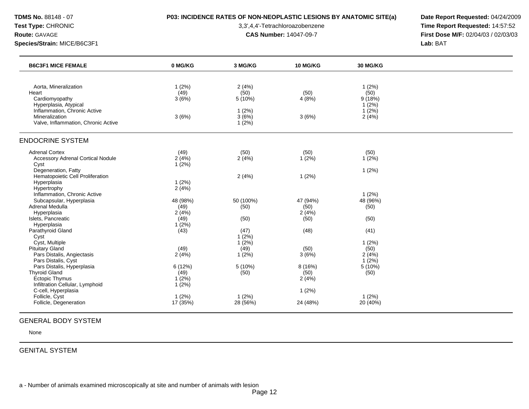# **TDMS No.** 88148 - 07 **P03: INCIDENCE RATES OF NON-NEOPLASTIC LESIONS BY ANATOMIC SITE(a) Date Report Requested:** 04/24/2009

**Test Type:** CHRONIC 3,3',4,4'-Tetrachloroazobenzene **Time Report Requested:** 14:57:52 **Route:** GAVAGE **CAS Number:** 14047-09-7 **First Dose M/F:** 02/04/03 / 02/03/03

| <b>B6C3F1 MICE FEMALE</b>                             | 0 MG/KG  | 3 MG/KG   | <b>10 MG/KG</b> | 30 MG/KG          |  |
|-------------------------------------------------------|----------|-----------|-----------------|-------------------|--|
|                                                       |          |           |                 |                   |  |
| Aorta, Mineralization                                 | 1(2%)    | 2(4%)     |                 | 1(2%)             |  |
| Heart                                                 | (49)     | (50)      | (50)            | (50)              |  |
| Cardiomyopathy                                        | 3(6%)    | 5(10%)    | 4(8%)           | 9(18%)            |  |
| Hyperplasia, Atypical<br>Inflammation, Chronic Active |          | 1(2%)     |                 | 1(2%)<br>$1(2\%)$ |  |
| Mineralization                                        | 3(6%)    | 3(6%)     | 3(6%)           | 2(4%)             |  |
| Valve, Inflammation, Chronic Active                   |          | 1(2%)     |                 |                   |  |
|                                                       |          |           |                 |                   |  |
| <b>ENDOCRINE SYSTEM</b>                               |          |           |                 |                   |  |
| <b>Adrenal Cortex</b>                                 | (49)     | (50)      | (50)            | (50)              |  |
| <b>Accessory Adrenal Cortical Nodule</b>              | 2(4%)    | 2(4%)     | $1(2\%)$        | $1(2\%)$          |  |
| Cyst                                                  | 1(2%)    |           |                 |                   |  |
| Degeneration, Fatty                                   |          |           |                 | $1(2\%)$          |  |
| Hematopoietic Cell Proliferation                      |          | 2(4%)     | 1(2%)           |                   |  |
| Hyperplasia                                           | 1(2%)    |           |                 |                   |  |
| Hypertrophy<br>Inflammation, Chronic Active           | 2(4%)    |           |                 | 1(2%)             |  |
| Subcapsular, Hyperplasia                              | 48 (98%) | 50 (100%) | 47 (94%)        | 48 (96%)          |  |
| Adrenal Medulla                                       | (49)     | (50)      | (50)            | (50)              |  |
| Hyperplasia                                           | 2(4%)    |           | 2(4%)           |                   |  |
| Islets, Pancreatic                                    | (49)     | (50)      | (50)            | (50)              |  |
| Hyperplasia                                           | 1(2%)    |           |                 |                   |  |
| Parathyroid Gland                                     | (43)     | (47)      | (48)            | (41)              |  |
| Cyst                                                  |          | 1(2%)     |                 |                   |  |
| Cyst, Multiple                                        |          | $1(2\%)$  |                 | 1(2%)             |  |
| <b>Pituitary Gland</b>                                | (49)     | (49)      | (50)            | (50)              |  |
| Pars Distalis, Angiectasis<br>Pars Distalis, Cyst     | 2(4%)    | $1(2\%)$  | 3(6%)           | 2(4%)<br>$1(2\%)$ |  |
| Pars Distalis, Hyperplasia                            | 6 (12%)  | $5(10\%)$ | 8 (16%)         | $5(10\%)$         |  |
| <b>Thyroid Gland</b>                                  | (49)     | (50)      | (50)            | (50)              |  |
| Ectopic Thymus                                        | $1(2\%)$ |           | 2(4%)           |                   |  |
| Infiltration Cellular, Lymphoid                       | 1(2%)    |           |                 |                   |  |
| C-cell, Hyperplasia                                   |          |           | 1(2%)           |                   |  |
| Follicle, Cyst                                        | 1(2%)    | $1(2\%)$  |                 | 1(2%)             |  |
| Follicle, Degeneration                                | 17 (35%) | 28 (56%)  | 24 (48%)        | 20 (40%)          |  |

### GENERAL BODY SYSTEM

None

# GENITAL SYSTEM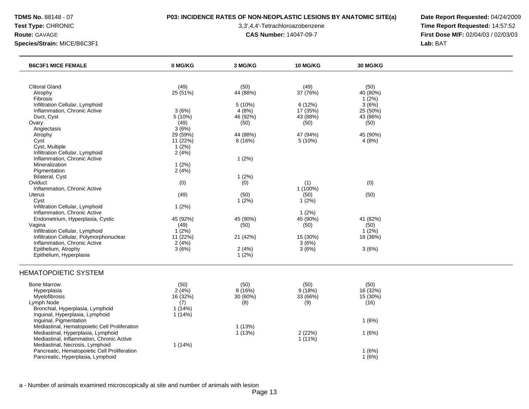# **TDMS No.** 88148 - 07 **P03: INCIDENCE RATES OF NON-NEOPLASTIC LESIONS BY ANATOMIC SITE(a) Date Report Requested:** 04/24/2009

**Test Type:** CHRONIC 3,3',4,4'-Tetrachloroazobenzene **Time Report Requested:** 14:57:52 **Route:** GAVAGE **CAS Number:** 14047-09-7 **First Dose M/F:** 02/04/03 / 02/03/03

| <b>B6C3F1 MICE FEMALE</b>                                                                                                                                                                     | 0 MG/KG                                    | 3 MG/KG                           | 10 MG/KG                          | 30 MG/KG                             |  |
|-----------------------------------------------------------------------------------------------------------------------------------------------------------------------------------------------|--------------------------------------------|-----------------------------------|-----------------------------------|--------------------------------------|--|
|                                                                                                                                                                                               |                                            |                                   |                                   |                                      |  |
| <b>Clitoral Gland</b><br>Atrophy                                                                                                                                                              | (49)<br>25 (51%)                           | (50)<br>44 (88%)                  | (49)<br>37 (76%)                  | (50)<br>40 (80%)                     |  |
| Fibrosis<br>Infiltration Cellular, Lymphoid<br>Inflammation, Chronic Active                                                                                                                   | 3(6%)                                      | 5 (10%)<br>4(8%)                  | 6(12%)<br>17 (35%)                | $1(2\%)$<br>3(6%)<br>25 (50%)        |  |
| Duct, Cyst<br>Ovary                                                                                                                                                                           | $5(10\%)$<br>(49)                          | 46 (92%)<br>(50)                  | 43 (88%)<br>(50)                  | 43 (86%)<br>(50)                     |  |
| Angiectasis<br>Atrophy<br>Cyst<br>Cyst, Multiple                                                                                                                                              | 3(6%)<br>29 (59%)<br>11 (22%)<br>$1(2\%)$  | 44 (88%)<br>8(16%)                | 47 (94%)<br>5 (10%)               | 45 (90%)<br>4(8%)                    |  |
| Infiltration Cellular, Lymphoid<br>Inflammation, Chronic Active<br>Mineralization                                                                                                             | 2(4%)<br>1(2%)                             | 1(2%)                             |                                   |                                      |  |
| Pigmentation<br>Bilateral, Cyst<br>Oviduct<br>Inflammation, Chronic Active                                                                                                                    | 2(4%)<br>(0)                               | 1(2%)<br>(0)                      | (1)<br>1 (100%)                   | (0)                                  |  |
| <b>Uterus</b><br>Cyst<br>Infiltration Cellular, Lymphoid                                                                                                                                      | (49)<br>1(2%)                              | (50)<br>1(2%)                     | (50)<br>$1(2\%)$                  | (50)                                 |  |
| Inflammation, Chronic Active<br>Endometrium, Hyperplasia, Cystic<br>Vagina<br>Infiltration Cellular, Lymphoid                                                                                 | 45 (92%)<br>(49)<br>1(2%)                  | 45 (90%)<br>(50)                  | 1(2%)<br>45 (90%)<br>(50)         | 41 (82%)<br>(50)<br>$1(2\%)$         |  |
| Infiltration Cellular, Polymorphonuclear<br>Inflammation, Chronic Active<br>Epithelium, Atrophy                                                                                               | 11(22%)<br>2(4%)<br>3(6%)                  | 21 (42%)<br>2(4%)                 | 15 (30%)<br>3(6%)<br>3(6%)        | 18 (36%)<br>3(6%)                    |  |
| Epithelium, Hyperplasia                                                                                                                                                                       |                                            | 1(2%)                             |                                   |                                      |  |
| <b>HEMATOPOIETIC SYSTEM</b>                                                                                                                                                                   |                                            |                                   |                                   |                                      |  |
| <b>Bone Marrow</b><br>Hyperplasia<br>Myelofibrosis<br>Lymph Node<br>Bronchial, Hyperplasia, Lymphoid                                                                                          | (50)<br>2(4%)<br>16 (32%)<br>(7)<br>1(14%) | (50)<br>8(16%)<br>30 (60%)<br>(8) | (50)<br>9(18%)<br>33 (66%)<br>(9) | (50)<br>16 (32%)<br>15 (30%)<br>(16) |  |
| Inguinal, Hyperplasia, Lymphoid<br>Inguinal, Pigmentation<br>Mediastinal, Hematopoietic Cell Proliferation<br>Mediastinal, Hyperplasia, Lymphoid<br>Mediastinal, Inflammation, Chronic Active | 1(14%)                                     | 1(13%)<br>1(13%)                  | 2(22%)<br>$1(11\%)$               | 1(6%)<br>1(6%)                       |  |
| Mediastinal, Necrosis, Lymphoid<br>Pancreatic, Hematopoietic Cell Proliferation<br>Pancreatic, Hyperplasia, Lymphoid                                                                          | 1(14%)                                     |                                   |                                   | 1(6%)<br>1(6%)                       |  |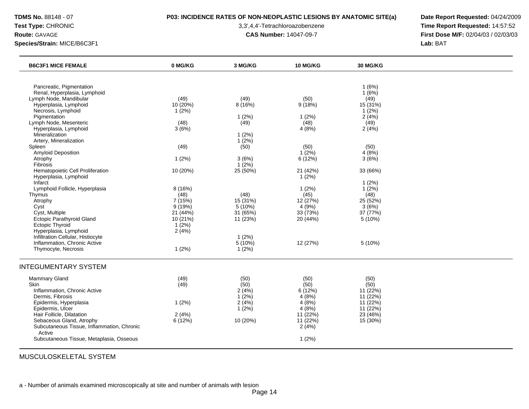# **TDMS No.** 88148 - 07 **P03: INCIDENCE RATES OF NON-NEOPLASTIC LESIONS BY ANATOMIC SITE(a) Date Report Requested:** 04/24/2009

**Test Type:** CHRONIC 3,3',4,4'-Tetrachloroazobenzene **Time Report Requested:** 14:57:52 **Route:** GAVAGE **CAS Number:** 14047-09-7 **First Dose M/F:** 02/04/03 / 02/03/03

| <b>B6C3F1 MICE FEMALE</b>                                                                                                                                                                                                                                                                                                                                                                                                                                                                                                                                                                                                                                  | 0 MG/KG                                                                                                                                                           | 3 MG/KG                                                                                                                                                                        | 10 MG/KG                                                                                                                                                              | 30 MG/KG                                                                                                                                                                                   |  |
|------------------------------------------------------------------------------------------------------------------------------------------------------------------------------------------------------------------------------------------------------------------------------------------------------------------------------------------------------------------------------------------------------------------------------------------------------------------------------------------------------------------------------------------------------------------------------------------------------------------------------------------------------------|-------------------------------------------------------------------------------------------------------------------------------------------------------------------|--------------------------------------------------------------------------------------------------------------------------------------------------------------------------------|-----------------------------------------------------------------------------------------------------------------------------------------------------------------------|--------------------------------------------------------------------------------------------------------------------------------------------------------------------------------------------|--|
| Pancreatic, Pigmentation<br>Renal, Hyperplasia, Lymphoid<br>Lymph Node, Mandibular<br>Hyperplasia, Lymphoid<br>Necrosis, Lymphoid<br>Pigmentation<br>Lymph Node, Mesenteric<br>Hyperplasia, Lymphoid<br>Mineralization<br>Artery, Mineralization<br>Spleen<br><b>Amyloid Deposition</b><br>Atrophy<br><b>Fibrosis</b><br>Hematopoietic Cell Proliferation<br>Hyperplasia, Lymphoid<br>Infarct<br>Lymphoid Follicle, Hyperplasia<br>Thymus<br>Atrophy<br>Cyst<br>Cyst, Multiple<br>Ectopic Parathyroid Gland<br><b>Ectopic Thyroid</b><br>Hyperplasia, Lymphoid<br>Infiltration Cellular, Histiocyte<br>Inflammation, Chronic Active<br>Thymocyte, Necrosis | (49)<br>10 (20%)<br>1(2%)<br>(48)<br>3(6%)<br>(49)<br>1(2%)<br>10 (20%)<br>8 (16%)<br>(48)<br>7 (15%)<br>9(19%)<br>21 (44%)<br>10(21%)<br>1(2%)<br>2(4%)<br>1(2%) | (49)<br>8(16%)<br>1(2%)<br>(49)<br>1(2%)<br>1(2%)<br>(50)<br>3(6%)<br>$1(2\%)$<br>25 (50%)<br>(48)<br>15 (31%)<br>5(10%)<br>31 (65%)<br>11(23%)<br>$1(2\%)$<br>5(10%)<br>1(2%) | (50)<br>9(18%)<br>1(2%)<br>(48)<br>4(8%)<br>(50)<br>1(2%)<br>6(12%)<br>21 (42%)<br>$1(2\%)$<br>1(2%)<br>(45)<br>12 (27%)<br>4(9%)<br>33 (73%)<br>20 (44%)<br>12 (27%) | 1(6%)<br>1(6%)<br>(49)<br>15 (31%)<br>1(2%)<br>2(4%)<br>(49)<br>2(4%)<br>(50)<br>4(8%)<br>3(6%)<br>33 (66%)<br>1(2%)<br>1(2%)<br>(48)<br>25 (52%)<br>3(6%)<br>37 (77%)<br>5(10%)<br>5(10%) |  |
| <b>INTEGUMENTARY SYSTEM</b><br>Mammary Gland<br><b>Skin</b><br>Inflammation, Chronic Active<br>Dermis, Fibrosis<br>Epidermis, Hyperplasia<br>Epidermis, Ulcer<br>Hair Follicle, Dilatation<br>Sebaceous Gland, Atrophy<br>Subcutaneous Tissue, Inflammation, Chronic<br>Active<br>Subcutaneous Tissue, Metaplasia, Osseous                                                                                                                                                                                                                                                                                                                                 | (49)<br>(49)<br>1(2%)<br>2(4%)<br>6(12%)                                                                                                                          | (50)<br>(50)<br>2(4%)<br>1(2%)<br>2(4%)<br>$1(2\%)$<br>10 (20%)                                                                                                                | (50)<br>(50)<br>6(12%)<br>4(8%)<br>4(8%)<br>4(8%)<br>11 (22%)<br>11(22%)<br>2(4%)<br>1(2%)                                                                            | (50)<br>(50)<br>11 (22%)<br>11(22%)<br>11 (22%)<br>11 (22%)<br>23 (46%)<br>15 (30%)                                                                                                        |  |

MUSCULOSKELETAL SYSTEM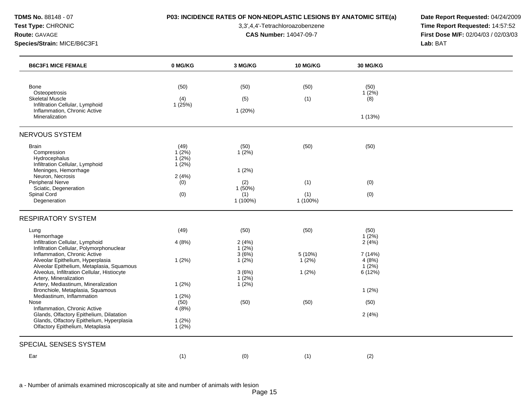# **TDMS No.** 88148 - 07 **P03: INCIDENCE RATES OF NON-NEOPLASTIC LESIONS BY ANATOMIC SITE(a) Date Report Requested:** 04/24/2009

**Test Type:** CHRONIC 3,3',4,4'-Tetrachloroazobenzene **Time Report Requested:** 14:57:52 **Route:** GAVAGE **CAS Number:** 14047-09-7 **First Dose M/F:** 02/04/03 / 02/03/03

| <b>B6C3F1 MICE FEMALE</b>                                                                | 0 MG/KG           | 3 MG/KG           | <b>10 MG/KG</b> | <b>30 MG/KG</b>    |  |
|------------------------------------------------------------------------------------------|-------------------|-------------------|-----------------|--------------------|--|
|                                                                                          |                   |                   |                 |                    |  |
| Bone                                                                                     | (50)              | (50)              | (50)            | (50)               |  |
| Osteopetrosis<br><b>Skeletal Muscle</b>                                                  | (4)               | (5)               | (1)             | $1(2\%)$<br>(8)    |  |
| Infiltration Cellular, Lymphoid                                                          | 1(25%)            |                   |                 |                    |  |
| Inflammation, Chronic Active<br>Mineralization                                           |                   | 1(20%)            |                 | 1 (13%)            |  |
|                                                                                          |                   |                   |                 |                    |  |
| <b>NERVOUS SYSTEM</b>                                                                    |                   |                   |                 |                    |  |
| <b>Brain</b>                                                                             | (49)              | (50)              | (50)            | (50)               |  |
| Compression                                                                              | $1(2\%)$          | 1(2%)             |                 |                    |  |
| Hydrocephalus<br>Infiltration Cellular, Lymphoid                                         | $1(2\%)$<br>1(2%) |                   |                 |                    |  |
| Meninges, Hemorrhage                                                                     |                   | 1(2%)             |                 |                    |  |
| Neuron, Necrosis                                                                         | 2(4%)             |                   |                 |                    |  |
| Peripheral Nerve<br>Sciatic, Degeneration                                                | (0)               | (2)<br>1(50%)     | (1)             | (0)                |  |
| Spinal Cord                                                                              | (0)               | (1)               | (1)             | (0)                |  |
| Degeneration                                                                             |                   | 1 (100%)          | $1(100\%)$      |                    |  |
| <b>RESPIRATORY SYSTEM</b>                                                                |                   |                   |                 |                    |  |
| Lung                                                                                     | (49)              | (50)              | (50)            | (50)               |  |
| Hemorrhage                                                                               |                   |                   |                 | $1(2\%)$           |  |
| Infiltration Cellular, Lymphoid<br>Infiltration Cellular, Polymorphonuclear              | 4(8%)             | 2(4%)<br>$1(2\%)$ |                 | 2(4%)              |  |
| Inflammation, Chronic Active                                                             |                   | 3(6%)             | 5 (10%)         | 7 (14%)            |  |
| Alveolar Epithelium, Hyperplasia                                                         | 1(2%)             | 1(2%)             | $1(2\%)$        | 4(8%)              |  |
| Alveolar Epithelium, Metaplasia, Squamous<br>Alveolus, Infiltration Cellular, Histiocyte |                   | 3(6%)             | 1(2%)           | $1(2\%)$<br>6(12%) |  |
| Artery, Mineralization                                                                   |                   | $1(2\%)$          |                 |                    |  |
| Artery, Mediastinum, Mineralization                                                      | 1(2%)             | 1(2%)             |                 |                    |  |
| Bronchiole, Metaplasia, Squamous<br>Mediastinum, Inflammation                            | 1(2%)             |                   |                 | 1(2%)              |  |
| Nose                                                                                     | (50)              | (50)              | (50)            | (50)               |  |
| Inflammation, Chronic Active                                                             | 4(8%)             |                   |                 |                    |  |
| Glands, Olfactory Epithelium, Dilatation<br>Glands, Olfactory Epithelium, Hyperplasia    | 1(2%)             |                   |                 | 2(4%)              |  |
| Olfactory Epithelium, Metaplasia                                                         | 1(2%)             |                   |                 |                    |  |
| SPECIAL SENSES SYSTEM                                                                    |                   |                   |                 |                    |  |
|                                                                                          |                   |                   |                 |                    |  |
| Ear                                                                                      | (1)               | (0)               | (1)             | (2)                |  |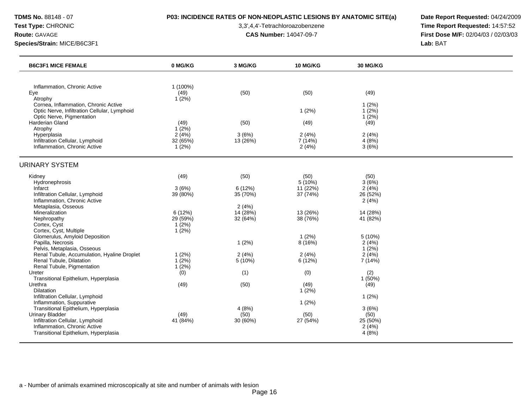# **TDMS No.** 88148 - 07 **P03: INCIDENCE RATES OF NON-NEOPLASTIC LESIONS BY ANATOMIC SITE(a) Date Report Requested:** 04/24/2009

**Test Type:** CHRONIC 3,3',4,4'-Tetrachloroazobenzene **Time Report Requested:** 14:57:52 **Route:** GAVAGE **CAS Number:** 14047-09-7 **First Dose M/F:** 02/04/03 / 02/03/03

| <b>B6C3F1 MICE FEMALE</b>                                 | 0 MG/KG          | 3 MG/KG          | <b>10 MG/KG</b>  | 30 MG/KG         |  |
|-----------------------------------------------------------|------------------|------------------|------------------|------------------|--|
|                                                           |                  |                  |                  |                  |  |
| Inflammation, Chronic Active<br>Eye                       | 1 (100%)<br>(49) | (50)             | (50)             | (49)             |  |
| Atrophy                                                   | $1(2\%)$         |                  |                  |                  |  |
| Cornea, Inflammation, Chronic Active                      |                  |                  |                  | 1(2%)            |  |
| Optic Nerve, Infiltration Cellular, Lymphoid              |                  |                  | 1(2%)            | 1(2%)            |  |
| Optic Nerve, Pigmentation<br>Harderian Gland              | (49)             | (50)             | (49)             | 1(2%)<br>(49)    |  |
| Atrophy                                                   | $1(2\%)$         |                  |                  |                  |  |
| Hyperplasia                                               | 2(4%)            | 3(6%)            | 2(4%)            | 2(4%)            |  |
| Infiltration Cellular, Lymphoid                           | 32 (65%)         | 13 (26%)         | 7 (14%)          | 4(8%)            |  |
| Inflammation, Chronic Active                              | 1(2%)            |                  | 2(4%)            | 3(6%)            |  |
| <b>URINARY SYSTEM</b>                                     |                  |                  |                  |                  |  |
| Kidney                                                    | (49)             | (50)             | (50)             | (50)             |  |
| Hydronephrosis                                            |                  |                  | 5(10%)           | 3(6%)            |  |
| Infarct                                                   | 3(6%)            | 6(12%)           | 11(22%)          | 2(4%)            |  |
| Infiltration Cellular, Lymphoid                           | 39 (80%)         | 35 (70%)         | 37 (74%)         | 26 (52%)         |  |
| Inflammation, Chronic Active                              |                  |                  |                  | 2(4%)            |  |
| Metaplasia, Osseous                                       |                  | 2(4%)            |                  |                  |  |
| Mineralization                                            | 6(12%)           | 14 (28%)         | 13 (26%)         | 14 (28%)         |  |
| Nephropathy                                               | 29 (59%)         | 32 (64%)         | 38 (76%)         | 41 (82%)         |  |
| Cortex, Cyst<br>Cortex, Cyst, Multiple                    | 1(2%)<br>1(2%)   |                  |                  |                  |  |
| Glomerulus, Amyloid Deposition                            |                  |                  | 1(2%)            | 5 (10%)          |  |
| Papilla, Necrosis                                         |                  | 1(2%)            | 8 (16%)          | 2(4%)            |  |
| Pelvis, Metaplasia, Osseous                               |                  |                  |                  | 1(2%)            |  |
| Renal Tubule, Accumulation, Hyaline Droplet               | 1(2%)            | 2(4%)            | 2(4%)            | 2(4%)            |  |
| Renal Tubule, Dilatation                                  | $1(2\%)$         | 5(10%)           | 6(12%)           | 7 (14%)          |  |
| Renal Tubule, Pigmentation                                | $1(2\%)$         |                  |                  |                  |  |
| Ureter                                                    | (0)              | (1)              | (0)              | (2)              |  |
| Transitional Epithelium, Hyperplasia                      |                  |                  |                  | 1(50%)           |  |
| Urethra                                                   | (49)             | (50)             | (49)             | (49)             |  |
| <b>Dilatation</b>                                         |                  |                  | 1(2%)            |                  |  |
| Infiltration Cellular, Lymphoid                           |                  |                  |                  | 1(2%)            |  |
| Inflammation, Suppurative                                 |                  |                  | 1(2%)            |                  |  |
| Transitional Epithelium, Hyperplasia                      |                  | 4(8%)            |                  | 3(6%)            |  |
| <b>Urinary Bladder</b><br>Infiltration Cellular, Lymphoid | (49)<br>41 (84%) | (50)<br>30 (60%) | (50)<br>27 (54%) | (50)<br>25 (50%) |  |
| Inflammation, Chronic Active                              |                  |                  |                  | 2(4%)            |  |
| Transitional Epithelium, Hyperplasia                      |                  |                  |                  | 4(8%)            |  |
|                                                           |                  |                  |                  |                  |  |